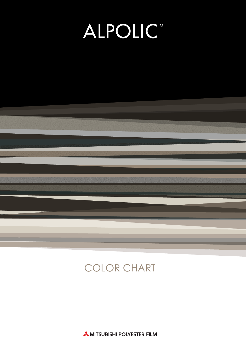# **ALPOLICT**



# COLOR CHART

**AMITSUBISHI POLYESTER FILM**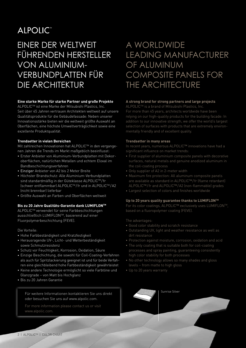## **ALPOLIC**<sup>™</sup>

### EINER DER WELTWEIT FÜHRENDEN HERSTELLER VON ALUMINIUM-VERBUNDPLATTEN FÜR DIE ARCHITEKTUR

### **Eine starke Marke für starke Partner und große Projekte**

ALPOLICTM ist eine Marke der Mitsubishi Plastics, Inc. Seit über 45 Jahren vertrauen Architekten weltweit auf unsere Qualitätsprodukte für die Gebäudefassade: Neben unserer Innovationsstärke bieten wir die weltweit größte Auswahl an Oberflächen, eine höchste Umweltverträglichkeit sowie eine exzellente Produktqualität.

### **Trendsetter in vielen Bereichen**

Mit zahlreichen Innovationen hat ALPOLICTM in den vergangenen Jahren die Trends im Markt maßgeblich beeinflusst:

- Erster Anbieter von Aluminium-Verbundplatten mit Dekoroberflächen, natürlichen Metallen und echtem Eloxal im Bandbeschichtungsverfahren
- Einziger Anbieter von A2 bis 2 Meter Breite
- Höchster Brandschutz: Alle Aluminium-Verbundplatten sind standardmäßig in der Güteklasse ALPOLICTM /fr (schwer entflammbar) ALPOLICTM /fr und in ALPOLICTM /A2 (nicht brennbar) lieferbar
- Größte Auswahl an Farben und Oberflächen weltweit

### **Bis zu 20 Jahre Qualitäts-Garantie dank LUMIFLONTM**

ALPOLICTM verwendet für seine Farbbeschichtungen ausschließlich LUMIFLONTM, basierend auf einer Fluorpolymerbeschichtung (FEVE).

### Die Vorteile:

- Hohe Farbbeständigkeit und Kratzfestigkeit
- Herausragende UV-, Licht- und Wetterbeständigkeit sowie Schmutzresistenz
- Schutz vor Feuchtigkeit, Korrosion, Oxidation, Säure
- Einzige Beschichtung, die sowohl für Coil-Coating-Verfahren als auch für Spritzlackierung geeignet ist und für beide Verfahren eine gleichbleibend hohe Farbbeständigkeit gewährleistet
- Keine andere Technologie ermöglicht so viele Farbtöne und Glanzgrade – von Matt bis Hochglanz
- Bis zu 20 Jahren Garantie

Sunrise Silver Für weitere Informationen kontaktieren Sie uns direkt oder besuchen Sie uns auf www.alpolic.com.

For more information please contact us or visit www.alpolic.com.

### A WORLDWIDE LEADING MANUFACTURER OF ALUMINUM COMPOSITE PANELS FOR THE ARCHITECTURE

### **A strong brand for strong partners and large projects**

ALPOLICTM is a brand of Mitsubishi Plastics, Inc. For more than 45 years, architects worldwide have been relying on our high-quality products for the building facade: In addition to our innovative strength, we offer the world's largest selection of surfaces with products that are extremely environmentally friendly and of excellent quality.

### **Trendsetter in many areas**

In recent years, numerous ALPOLIC™ innovations have had a significant influence on market trends:

- First supplier of aluminium composite panels with decorative surfaces, natural metals and genuine anodized aluminum in the coil-coating process
- Only supplier of A2 in 2-meter width
- Maximum fire protection: All aluminum composite panels are available as standard in ALPOLIC™/fr (flame retardant) ALPOLIC™/fr and ALPOLIC™/A2 (non-flammable) grades
- Largest selection of colors and finishes worldwide

### **Up to 20 years quality guarantee thanks to LUMIFLONTM**

For its color coatings, ALPOLIC™ exclusively uses LUMIFLONTM, based on a fluoropolymer coating (FEVE).

The advantages:

- 
- dirt resistance
- Protection against moisture, corrosion, oxidation and acid
- The only coating that is suitable both for coil-coating processes and spray painting, guaranteeing consistently high color stability for both processes
- No other technology allows so many shades and gloss levels – from matte to high gloss
- Up to 20 years warranty

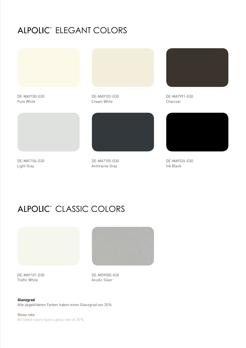### ALPOLIC" ELEGANT COLORS



DE-MA9100-G30 Pure White

DE-MA9102-G30 Cream White



DE-MA7104-G30 Light Gray

DE-MA7105-G30 Anthracite Gray



DE-MA7991-G30 Charcoal



DE-MA9326-G30 Ink Black

## ALPOLIC<sup>®</sup> CLASSIC COLORS



DE-MA9101-G30 Traffic White

DE-MD9500-G30 Anodic Silver

**Glanzgrad**  Alle abgebildeten Farben haben einen Glanzgrad von 30%.

**Gloss rate**  All listed colors have a gloss rate of 30%.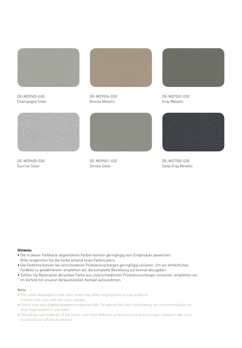

DE-MD9503-G30 Champagne Silver



DE-MD9504-G30 Bronze Metallic



DE-MD7502-G30 Gray Metallic



DE-MD9600-G30 Sunrise Silver



DE-MD9501-G30 Smoke Silver



DE-MD7505-G30 Deep Gray Metallic

#### **Hinweis:**

- Die in dieser Farbkarte abgebildeten Farben können geringfügig vom Endprodukt abweichen. Bitte vergleichen Sie die Farbe anhand eines Farbmusters.
- Die Farbtöne können bei verschiedenen Produktionschargen geringfügig variieren. Um ein einheitliches Farbbild zu gewährleisten empfehlen wir, die komplette Bestellung auf einmal abzugeben.
- Sollten Sie Materialien derselben Farbe aus unterschiedlichen Produktionschargen einsetzen, empfehlen wir, im Vorfeld mit unseren Verkaufsstellen Kontakt aufzunehmen.

#### **Note:**

- The colors displayed in this color chart may differ slightly from actual products. Confirm the color with the color sample.
- Colors may vary slightly between production lots. To ensure the color consistency, we recommend placing total requirement in one order.
- Should you use material of the same color from different production lots in one project, please make sure to consult our offices in advance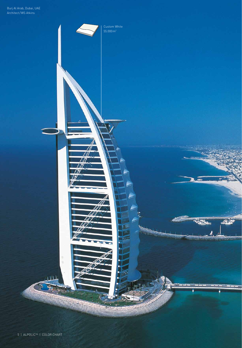